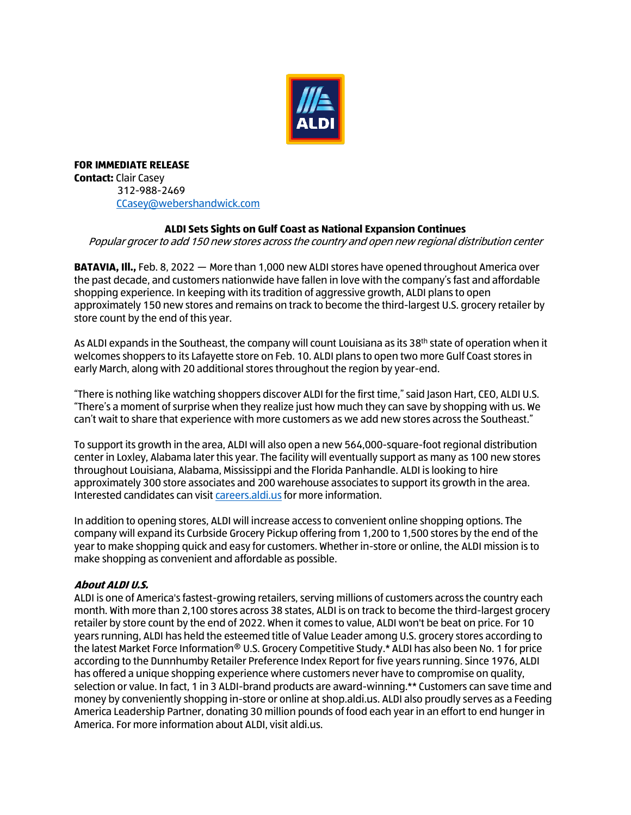

**FOR IMMEDIATE RELEASE Contact:** Clair Casey 312-988-2469 [CCasey@webershandwick.com](mailto:CCasey@webershandwick.com)

## **ALDI Sets Sights on Gulf Coast as National Expansion Continues**

Popular grocer to add 150 new stores across the country and open new regional distribution center

**BATAVIA, Ill.,** Feb. 8, 2022 — More than 1,000 new ALDI stores have opened throughout America over the past decade, and customers nationwide have fallen in love with the company's fast and affordable shopping experience. In keeping with its tradition of aggressive growth, ALDI plans to open approximately 150 new stores and remains on track to become the third-largest U.S. grocery retailer by store count by the end of this year.

As ALDI expands in the Southeast, the company will count Louisiana as its 38<sup>th</sup> state of operation when it welcomes shoppers to its Lafayette store on Feb. 10. ALDI plans to open two more Gulf Coast stores in early March, along with 20 additional stores throughout the region by year-end.

"There is nothing like watching shoppers discover ALDI for the first time," said Jason Hart, CEO, ALDI U.S. "There's a moment of surprise when they realize just how much they can save by shopping with us. We can't wait to share that experience with more customers as we add new stores across the Southeast."

To support its growth in the area, ALDI will also open a new 564,000-square-foot regional distribution center in Loxley, Alabama later this year. The facility will eventually support as many as 100 new stores throughout Louisiana, Alabama, Mississippi and the Florida Panhandle. ALDI is looking to hire approximately 300 store associates and 200 warehouse associates to support its growth in the area. Interested candidates can visit [careers.aldi.us](file://///499FSL01.ALDI-499.loc/DEP$/Corporate_Buying/Public%20Relations/Corp%20Comm/2022/Corporate%20Leadership/Loxley%20Growth%20Annoucement/National%20Growth%20Press%20Release/careers.aldi.us) for more information.

In addition to opening stores, ALDI will increase access to convenient online shopping options. The company will expand its Curbside Grocery Pickup offering from 1,200 to 1,500 stores by the end of the year to make shopping quick and easy for customers. Whether in-store or online, the ALDI mission is to make shopping as convenient and affordable as possible.

## **About ALDI U.S.**

ALDI is one of America's fastest-growing retailers, serving millions of customers across the country each month. With more than 2,100 stores across 38 states, ALDI is on track to become the third-largest grocery retailer by store count by the end of 2022. When it comes to value, ALDI won't be beat on price. For 10 years running, ALDI has held the esteemed title of Value Leader among U.S. grocery stores according to the latest Market Force Information® U.S. Grocery Competitive Study.\* ALDI has also been No. 1 for price according to the Dunnhumby Retailer Preference Index Report for five years running. Since 1976, ALDI has offered a unique shopping experience where customers never have to compromise on quality, selection or value. In fact, 1 in 3 ALDI-brand products are award-winning.\*\* Customers can save time and money by conveniently shopping in-store or online at shop.aldi.us. ALDI also proudly serves as a Feeding America Leadership Partner, donating 30 million pounds of food each year in an effort to end hunger in America. For more information about ALDI, visit aldi.us.